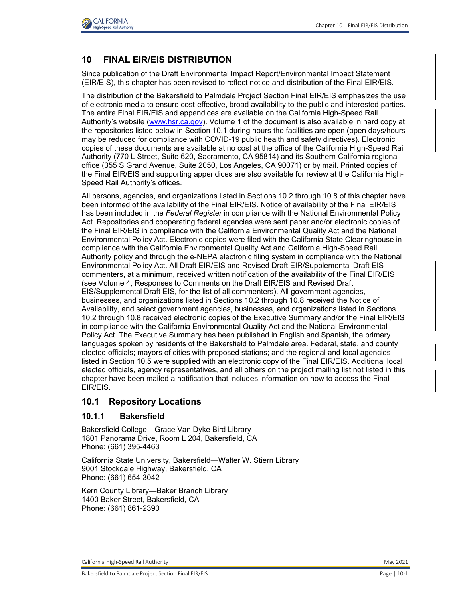

## **10 FINAL EIR/EIS DISTRIBUTION**

Since publication of the Draft Environmental Impact Report/Environmental Impact Statement (EIR/EIS), this chapter has been revised to reflect notice and distribution of the Final EIR/EIS.

The distribution of the Bakersfield to Palmdale Project Section Final EIR/EIS emphasizes the use of electronic media to ensure cost-effective, broad availability to the public and interested parties. The entire Final EIR/EIS and appendices are available on the California High-Speed Rail Authority's website [\(www.hsr.ca.gov\)](http://www.hsr.ca.gov/). Volume 1 of the document is also available in hard copy at the repositories listed below in Section 10.1 during hours the facilities are open (open days/hours may be reduced for compliance with COVID-19 public health and safety directives). Electronic copies of these documents are available at no cost at the office of the California High-Speed Rail Authority (770 L Street, Suite 620, Sacramento, CA 95814) and its Southern California regional office (355 S Grand Avenue, Suite 2050, Los Angeles, CA 90071) or by mail. Printed copies of the Final EIR/EIS and supporting appendices are also available for review at the California High-Speed Rail Authority's offices.

All persons, agencies, and organizations listed in Sections 10.2 through 10.8 of this chapter have been informed of the availability of the Final EIR/EIS. Notice of availability of the Final EIR/EIS has been included in the *Federal Register* in compliance with the National Environmental Policy Act. Repositories and cooperating federal agencies were sent paper and/or electronic copies of the Final EIR/EIS in compliance with the California Environmental Quality Act and the National Environmental Policy Act. Electronic copies were filed with the California State Clearinghouse in compliance with the California Environmental Quality Act and California High-Speed Rail Authority policy and through the e-NEPA electronic filing system in compliance with the National Environmental Policy Act. All Draft EIR/EIS and Revised Draft EIR/Supplemental Draft EIS commenters, at a minimum, received written notification of the availability of the Final EIR/EIS (see Volume 4, Responses to Comments on the Draft EIR/EIS and Revised Draft EIS/Supplemental Draft EIS, for the list of all commenters). All government agencies, businesses, and organizations listed in Sections 10.2 through 10.8 received the Notice of Availability, and select government agencies, businesses, and organizations listed in Sections 10.2 through 10.8 received electronic copies of the Executive Summary and/or the Final EIR/EIS in compliance with the California Environmental Quality Act and the National Environmental Policy Act. The Executive Summary has been published in English and Spanish, the primary languages spoken by residents of the Bakersfield to Palmdale area. Federal, state, and county elected officials; mayors of cities with proposed stations; and the regional and local agencies listed in Section 10.5 were supplied with an electronic copy of the Final EIR/EIS. Additional local elected officials, agency representatives, and all others on the project mailing list not listed in this chapter have been mailed a notification that includes information on how to access the Final EIR/EIS.

### **10.1 Repository Locations**

#### **10.1.1 Bakersfield**

Bakersfield College—Grace Van Dyke Bird Library 1801 Panorama Drive, Room L 204, Bakersfield, CA Phone: (661) 395-4463

California State University, Bakersfield—Walter W. Stiern Library 9001 Stockdale Highway, Bakersfield, CA Phone: (661) 654-3042

Kern County Library—Baker Branch Library 1400 Baker Street, Bakersfield, CA Phone: (661) 861-2390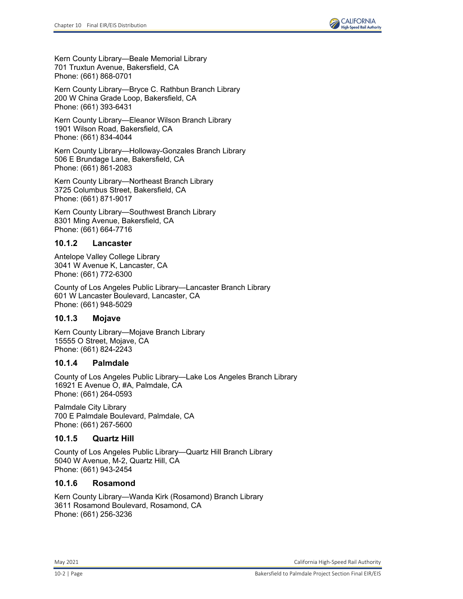

Kern County Library—Beale Memorial Library 701 Truxtun Avenue, Bakersfield, CA Phone: (661) 868-0701

Kern County Library—Bryce C. Rathbun Branch Library 200 W China Grade Loop, Bakersfield, CA Phone: (661) 393-6431

Kern County Library—Eleanor Wilson Branch Library 1901 Wilson Road, Bakersfield, CA Phone: (661) 834-4044

Kern County Library—Holloway-Gonzales Branch Library 506 E Brundage Lane, Bakersfield, CA Phone: (661) 861-2083

Kern County Library—Northeast Branch Library 3725 Columbus Street, Bakersfield, CA Phone: (661) 871-9017

Kern County Library—Southwest Branch Library 8301 Ming Avenue, Bakersfield, CA Phone: (661) 664-7716

#### **10.1.2 Lancaster**

Antelope Valley College Library 3041 W Avenue K, Lancaster, CA Phone: (661) 772-6300

County of Los Angeles Public Library—Lancaster Branch Library 601 W Lancaster Boulevard, Lancaster, CA Phone: (661) 948-5029

### **10.1.3 Mojave**

Kern County Library—Mojave Branch Library 15555 O Street, Mojave, CA Phone: (661) 824-2243

#### **10.1.4 Palmdale**

County of Los Angeles Public Library—Lake Los Angeles Branch Library 16921 E Avenue O, #A, Palmdale, CA Phone: (661) 264-0593

Palmdale City Library 700 E Palmdale Boulevard, Palmdale, CA Phone: (661) 267-5600

### **10.1.5 Quartz Hill**

County of Los Angeles Public Library—Quartz Hill Branch Library 5040 W Avenue, M-2, Quartz Hill, CA Phone: (661) 943-2454

### **10.1.6 Rosamond**

Kern County Library—Wanda Kirk (Rosamond) Branch Library 3611 Rosamond Boulevard, Rosamond, CA Phone: (661) 256-3236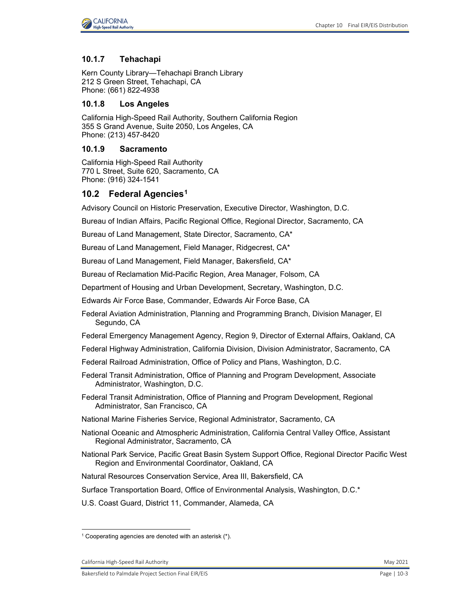

#### **10.1.7 Tehachapi**

Kern County Library—Tehachapi Branch Library 212 S Green Street, Tehachapi, CA Phone: (661) 822-4938

#### **10.1.8 Los Angeles**

California High-Speed Rail Authority, Southern California Region 355 S Grand Avenue, Suite 2050, Los Angeles, CA Phone: (213) 457-8420

### **10.1.9 Sacramento**

California High-Speed Rail Authority 770 L Street, Suite 620, Sacramento, CA Phone: (916) 324-1541

#### **10.2 Federal Agencies[1](#page-2-0)**

Advisory Council on Historic Preservation, Executive Director, Washington, D.C.

Bureau of Indian Affairs, Pacific Regional Office, Regional Director, Sacramento, CA

Bureau of Land Management, State Director, Sacramento, CA\*

Bureau of Land Management, Field Manager, Ridgecrest, CA\*

Bureau of Land Management, Field Manager, Bakersfield, CA\*

Bureau of Reclamation Mid-Pacific Region, Area Manager, Folsom, CA

Department of Housing and Urban Development, Secretary, Washington, D.C.

Edwards Air Force Base, Commander, Edwards Air Force Base, CA

Federal Aviation Administration, Planning and Programming Branch, Division Manager, El Segundo, CA

Federal Emergency Management Agency, Region 9, Director of External Affairs, Oakland, CA

- Federal Highway Administration, California Division, Division Administrator, Sacramento, CA
- Federal Railroad Administration, Office of Policy and Plans, Washington, D.C.
- Federal Transit Administration, Office of Planning and Program Development, Associate Administrator, Washington, D.C.
- Federal Transit Administration, Office of Planning and Program Development, Regional Administrator, San Francisco, CA
- National Marine Fisheries Service, Regional Administrator, Sacramento, CA
- National Oceanic and Atmospheric Administration, California Central Valley Office, Assistant Regional Administrator, Sacramento, CA
- National Park Service, Pacific Great Basin System Support Office, Regional Director Pacific West Region and Environmental Coordinator, Oakland, CA
- Natural Resources Conservation Service, Area III, Bakersfield, CA

Surface Transportation Board, Office of Environmental Analysis, Washington, D.C.\*

U.S. Coast Guard, District 11, Commander, Alameda, CA

<span id="page-2-0"></span><sup>1</sup> Cooperating agencies are denoted with an asterisk (\*).

California High-Speed Rail Authority May 2021 **May 2021**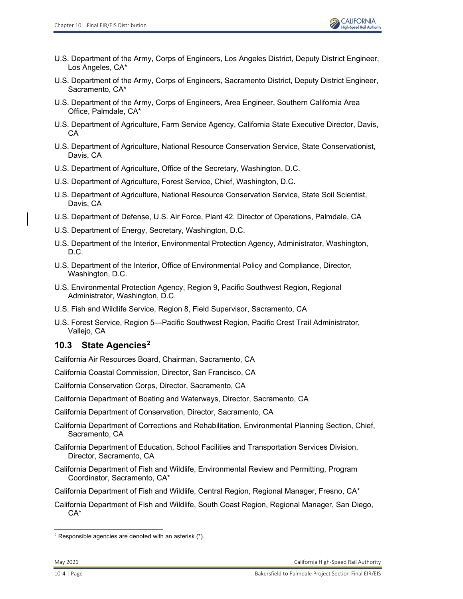- U.S. Department of the Army, Corps of Engineers, Los Angeles District, Deputy District Engineer, Los Angeles, CA\*
- U.S. Department of the Army, Corps of Engineers, Sacramento District, Deputy District Engineer, Sacramento, CA\*
- U.S. Department of the Army, Corps of Engineers, Area Engineer, Southern California Area Office, Palmdale, CA\*
- U.S. Department of Agriculture, Farm Service Agency, California State Executive Director, Davis, CA
- U.S. Department of Agriculture, National Resource Conservation Service, State Conservationist, Davis, CA
- U.S. Department of Agriculture, Office of the Secretary, Washington, D.C.
- U.S. Department of Agriculture, Forest Service, Chief, Washington, D.C.
- U.S. Department of Agriculture, National Resource Conservation Service, State Soil Scientist, Davis, CA
- U.S. Department of Defense, U.S. Air Force, Plant 42, Director of Operations, Palmdale, CA
- U.S. Department of Energy, Secretary, Washington, D.C.
- U.S. Department of the Interior, Environmental Protection Agency, Administrator, Washington, D.C.
- U.S. Department of the Interior, Office of Environmental Policy and Compliance, Director, Washington, D.C.
- U.S. Environmental Protection Agency, Region 9, Pacific Southwest Region, Regional Administrator, Washington, D.C.
- U.S. Fish and Wildlife Service, Region 8, Field Supervisor, Sacramento, CA
- U.S. Forest Service, Region 5—Pacific Southwest Region, Pacific Crest Trail Administrator, Vallejo, CA

# **10.3 State Agencies[2](#page-3-0)**

California Air Resources Board, Chairman, Sacramento, CA

California Coastal Commission, Director, San Francisco, CA

California Conservation Corps, Director, Sacramento, CA

California Department of Boating and Waterways, Director, Sacramento, CA

California Department of Conservation, Director, Sacramento, CA

- California Department of Corrections and Rehabilitation, Environmental Planning Section, Chief, Sacramento, CA
- California Department of Education, School Facilities and Transportation Services Division, Director, Sacramento, CA
- California Department of Fish and Wildlife, Environmental Review and Permitting, Program Coordinator, Sacramento, CA\*
- California Department of Fish and Wildlife, Central Region, Regional Manager, Fresno, CA\*
- California Department of Fish and Wildlife, South Coast Region, Regional Manager, San Diego, CA\*

<span id="page-3-0"></span> $2$  Responsible agencies are denoted with an asterisk  $(*)$ .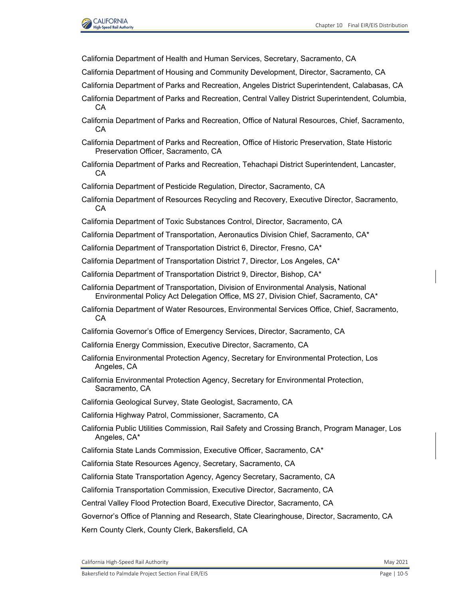

California Department of Health and Human Services, Secretary, Sacramento, CA

- California Department of Housing and Community Development, Director, Sacramento, CA
- California Department of Parks and Recreation, Angeles District Superintendent, Calabasas, CA
- California Department of Parks and Recreation, Central Valley District Superintendent, Columbia, CA
- California Department of Parks and Recreation, Office of Natural Resources, Chief, Sacramento, CA
- California Department of Parks and Recreation, Office of Historic Preservation, State Historic Preservation Officer, Sacramento, CA
- California Department of Parks and Recreation, Tehachapi District Superintendent, Lancaster, CA
- California Department of Pesticide Regulation, Director, Sacramento, CA
- California Department of Resources Recycling and Recovery, Executive Director, Sacramento, CA
- California Department of Toxic Substances Control, Director, Sacramento, CA
- California Department of Transportation, Aeronautics Division Chief, Sacramento, CA\*
- California Department of Transportation District 6, Director, Fresno, CA\*
- California Department of Transportation District 7, Director, Los Angeles, CA\*
- California Department of Transportation District 9, Director, Bishop, CA\*
- California Department of Transportation, Division of Environmental Analysis, National Environmental Policy Act Delegation Office, MS 27, Division Chief, Sacramento, CA\*
- California Department of Water Resources, Environmental Services Office, Chief, Sacramento, CA
- California Governor's Office of Emergency Services, Director, Sacramento, CA
- California Energy Commission, Executive Director, Sacramento, CA
- California Environmental Protection Agency, Secretary for Environmental Protection, Los Angeles, CA
- California Environmental Protection Agency, Secretary for Environmental Protection, Sacramento, CA
- California Geological Survey, State Geologist, Sacramento, CA
- California Highway Patrol, Commissioner, Sacramento, CA
- California Public Utilities Commission, Rail Safety and Crossing Branch, Program Manager, Los Angeles, CA\*
- California State Lands Commission, Executive Officer, Sacramento, CA\*
- California State Resources Agency, Secretary, Sacramento, CA

California State Transportation Agency, Agency Secretary, Sacramento, CA

California Transportation Commission, Executive Director, Sacramento, CA

Central Valley Flood Protection Board, Executive Director, Sacramento, CA

Governor's Office of Planning and Research, State Clearinghouse, Director, Sacramento, CA

Kern County Clerk, County Clerk, Bakersfield, CA

California High-Speed Rail Authority May 2021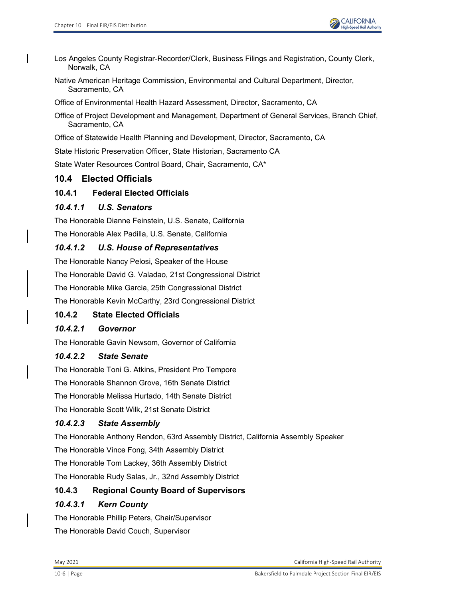- Los Angeles County Registrar-Recorder/Clerk, Business Filings and Registration, County Clerk, Norwalk, CA
- Native American Heritage Commission, Environmental and Cultural Department, Director, Sacramento, CA

Office of Environmental Health Hazard Assessment, Director, Sacramento, CA

Office of Project Development and Management, Department of General Services, Branch Chief, Sacramento, CA

Office of Statewide Health Planning and Development, Director, Sacramento, CA

State Historic Preservation Officer, State Historian, Sacramento CA

State Water Resources Control Board, Chair, Sacramento, CA\*

# **10.4 Elected Officials**

## **10.4.1 Federal Elected Officials**

## *10.4.1.1 U.S. Senators*

The Honorable Dianne Feinstein, U.S. Senate, California

The Honorable Alex Padilla, U.S. Senate, California

## *10.4.1.2 U.S. House of Representatives*

The Honorable Nancy Pelosi, Speaker of the House

The Honorable David G. Valadao, 21st Congressional District

The Honorable Mike Garcia, 25th Congressional District

The Honorable Kevin McCarthy, 23rd Congressional District

# **10.4.2 State Elected Officials**

# *10.4.2.1 Governor*

The Honorable Gavin Newsom, Governor of California

## *10.4.2.2 State Senate*

The Honorable Toni G. Atkins, President Pro Tempore

The Honorable Shannon Grove, 16th Senate District

The Honorable Melissa Hurtado, 14th Senate District

The Honorable Scott Wilk, 21st Senate District

## *10.4.2.3 State Assembly*

The Honorable Anthony Rendon, 63rd Assembly District, California Assembly Speaker

The Honorable Vince Fong, 34th Assembly District

The Honorable Tom Lackey, 36th Assembly District

The Honorable Rudy Salas, Jr., 32nd Assembly District

# **10.4.3 Regional County Board of Supervisors**

# *10.4.3.1 Kern County*

The Honorable Phillip Peters, Chair/Supervisor The Honorable David Couch, Supervisor

May 2021 California High-Speed Rail Authority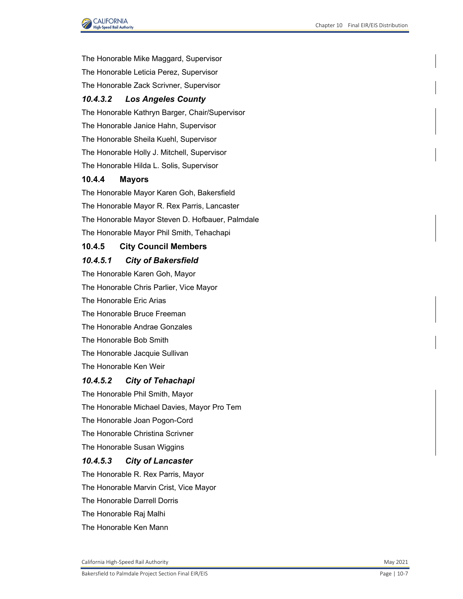

The Honorable Mike Maggard, Supervisor The Honorable Leticia Perez, Supervisor

The Honorable Zack Scrivner, Supervisor

## *10.4.3.2 Los Angeles County*

The Honorable Kathryn Barger, Chair/Supervisor

The Honorable Janice Hahn, Supervisor

The Honorable Sheila Kuehl, Supervisor

The Honorable Holly J. Mitchell, Supervisor

The Honorable Hilda L. Solis, Supervisor

### **10.4.4 Mayors**

The Honorable Mayor Karen Goh, Bakersfield The Honorable Mayor R. Rex Parris, Lancaster The Honorable Mayor Steven D. Hofbauer, Palmdale The Honorable Mayor Phil Smith, Tehachapi

### **10.4.5 City Council Members**

#### *10.4.5.1 City of Bakersfield*

The Honorable Karen Goh, Mayor The Honorable Chris Parlier, Vice Mayor The Honorable Eric Arias The Honorable Bruce Freeman The Honorable Andrae Gonzales The Honorable Bob Smith The Honorable Jacquie Sullivan The Honorable Ken Weir

### *10.4.5.2 City of Tehachapi*

The Honorable Phil Smith, Mayor The Honorable Michael Davies, Mayor Pro Tem The Honorable Joan Pogon-Cord The Honorable Christina Scrivner The Honorable Susan Wiggins *10.4.5.3 City of Lancaster* The Honorable R. Rex Parris, Mayor The Honorable Marvin Crist, Vice Mayor The Honorable Darrell Dorris

The Honorable Raj Malhi

The Honorable Ken Mann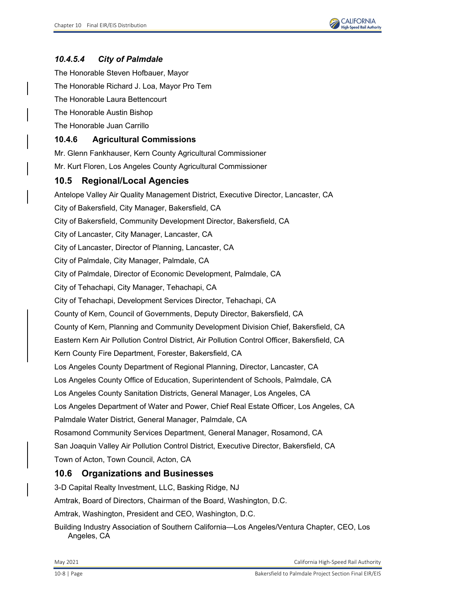

## *10.4.5.4 City of Palmdale*

The Honorable Steven Hofbauer, Mayor The Honorable Richard J. Loa, Mayor Pro Tem The Honorable Laura Bettencourt The Honorable Austin Bishop The Honorable Juan Carrillo

## **10.4.6 Agricultural Commissions**

Mr. Glenn Fankhauser, Kern County Agricultural Commissioner Mr. Kurt Floren, Los Angeles County Agricultural Commissioner

## **10.5 Regional/Local Agencies**

Antelope Valley Air Quality Management District, Executive Director, Lancaster, CA City of Bakersfield, City Manager, Bakersfield, CA City of Bakersfield, Community Development Director, Bakersfield, CA City of Lancaster, City Manager, Lancaster, CA City of Lancaster, Director of Planning, Lancaster, CA City of Palmdale, City Manager, Palmdale, CA City of Palmdale, Director of Economic Development, Palmdale, CA City of Tehachapi, City Manager, Tehachapi, CA City of Tehachapi, Development Services Director, Tehachapi, CA County of Kern, Council of Governments, Deputy Director, Bakersfield, CA County of Kern, Planning and Community Development Division Chief, Bakersfield, CA Eastern Kern Air Pollution Control District, Air Pollution Control Officer, Bakersfield, CA Kern County Fire Department, Forester, Bakersfield, CA Los Angeles County Department of Regional Planning, Director, Lancaster, CA Los Angeles County Office of Education, Superintendent of Schools, Palmdale, CA Los Angeles County Sanitation Districts, General Manager, Los Angeles, CA Los Angeles Department of Water and Power, Chief Real Estate Officer, Los Angeles, CA Palmdale Water District, General Manager, Palmdale, CA Rosamond Community Services Department, General Manager, Rosamond, CA San Joaquin Valley Air Pollution Control District, Executive Director, Bakersfield, CA Town of Acton, Town Council, Acton, CA

## **10.6 Organizations and Businesses**

3-D Capital Realty Investment, LLC, Basking Ridge, NJ

Amtrak, Board of Directors, Chairman of the Board, Washington, D.C.

Amtrak, Washington, President and CEO, Washington, D.C.

Building Industry Association of Southern California—Los Angeles/Ventura Chapter, CEO, Los Angeles, CA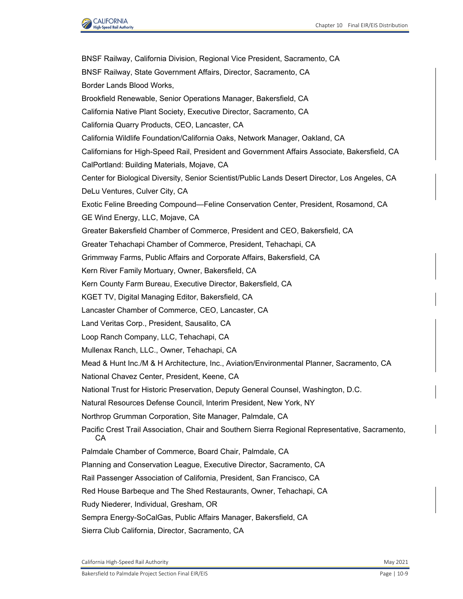

BNSF Railway, California Division, Regional Vice President, Sacramento, CA BNSF Railway, State Government Affairs, Director, Sacramento, CA Border Lands Blood Works, Brookfield Renewable, Senior Operations Manager, Bakersfield, CA California Native Plant Society, Executive Director, Sacramento, CA California Quarry Products, CEO, Lancaster, CA California Wildlife Foundation/California Oaks, Network Manager, Oakland, CA Californians for High-Speed Rail, President and Government Affairs Associate, Bakersfield, CA CalPortland: Building Materials, Mojave, CA Center for Biological Diversity, Senior Scientist/Public Lands Desert Director, Los Angeles, CA DeLu Ventures, Culver City, CA Exotic Feline Breeding Compound—Feline Conservation Center, President, Rosamond, CA GE Wind Energy, LLC, Mojave, CA Greater Bakersfield Chamber of Commerce, President and CEO, Bakersfield, CA Greater Tehachapi Chamber of Commerce, President, Tehachapi, CA Grimmway Farms, Public Affairs and Corporate Affairs, Bakersfield, CA Kern River Family Mortuary, Owner, Bakersfield, CA Kern County Farm Bureau, Executive Director, Bakersfield, CA KGET TV, Digital Managing Editor, Bakersfield, CA Lancaster Chamber of Commerce, CEO, Lancaster, CA Land Veritas Corp., President, Sausalito, CA Loop Ranch Company, LLC, Tehachapi, CA Mullenax Ranch, LLC., Owner, Tehachapi, CA Mead & Hunt Inc./M & H Architecture, Inc., Aviation/Environmental Planner, Sacramento, CA National Chavez Center, President, Keene, CA National Trust for Historic Preservation, Deputy General Counsel, Washington, D.C. Natural Resources Defense Council, Interim President, New York, NY Northrop Grumman Corporation, Site Manager, Palmdale, CA Pacific Crest Trail Association, Chair and Southern Sierra Regional Representative, Sacramento, CA Palmdale Chamber of Commerce, Board Chair, Palmdale, CA Planning and Conservation League, Executive Director, Sacramento, CA Rail Passenger Association of California, President, San Francisco, CA Red House Barbeque and The Shed Restaurants, Owner, Tehachapi, CA Rudy Niederer, Individual, Gresham, OR Sempra Energy-SoCalGas, Public Affairs Manager, Bakersfield, CA Sierra Club California, Director, Sacramento, CA

California High-Speed Rail Authority May 2021 **May 2021**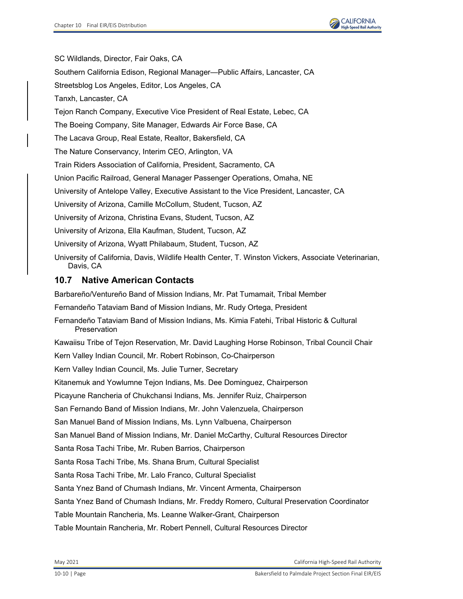

SC Wildlands, Director, Fair Oaks, CA Southern California Edison, Regional Manager—Public Affairs, Lancaster, CA Streetsblog Los Angeles, Editor, Los Angeles, CA Tanxh, Lancaster, CA Tejon Ranch Company, Executive Vice President of Real Estate, Lebec, CA The Boeing Company, Site Manager, Edwards Air Force Base, CA The Lacava Group, Real Estate, Realtor, Bakersfield, CA The Nature Conservancy, Interim CEO, Arlington, VA Train Riders Association of California, President, Sacramento, CA Union Pacific Railroad, General Manager Passenger Operations, Omaha, NE University of Antelope Valley, Executive Assistant to the Vice President, Lancaster, CA University of Arizona, Camille McCollum, Student, Tucson, AZ University of Arizona, Christina Evans, Student, Tucson, AZ University of Arizona, Ella Kaufman, Student, Tucson, AZ University of Arizona, Wyatt Philabaum, Student, Tucson, AZ University of California, Davis, Wildlife Health Center, T. Winston Vickers, Associate Veterinarian, Davis, CA

# **10.7 Native American Contacts**

Barbareño/Ventureño Band of Mission Indians, Mr. Pat Tumamait, Tribal Member Fernandeño Tataviam Band of Mission Indians, Mr. Rudy Ortega, President Fernandeño Tataviam Band of Mission Indians, Ms. Kimia Fatehi, Tribal Historic & Cultural Preservation Kawaiisu Tribe of Tejon Reservation, Mr. David Laughing Horse Robinson, Tribal Council Chair Kern Valley Indian Council, Mr. Robert Robinson, Co-Chairperson Kern Valley Indian Council, Ms. Julie Turner, Secretary Kitanemuk and Yowlumne Tejon Indians, Ms. Dee Dominguez, Chairperson Picayune Rancheria of Chukchansi Indians, Ms. Jennifer Ruiz, Chairperson San Fernando Band of Mission Indians, Mr. John Valenzuela, Chairperson San Manuel Band of Mission Indians, Ms. Lynn Valbuena, Chairperson San Manuel Band of Mission Indians, Mr. Daniel McCarthy, Cultural Resources Director Santa Rosa Tachi Tribe, Mr. Ruben Barrios, Chairperson Santa Rosa Tachi Tribe, Ms. Shana Brum, Cultural Specialist Santa Rosa Tachi Tribe, Mr. Lalo Franco, Cultural Specialist Santa Ynez Band of Chumash Indians, Mr. Vincent Armenta, Chairperson Santa Ynez Band of Chumash Indians, Mr. Freddy Romero, Cultural Preservation Coordinator Table Mountain Rancheria, Ms. Leanne Walker-Grant, Chairperson

Table Mountain Rancheria, Mr. Robert Pennell, Cultural Resources Director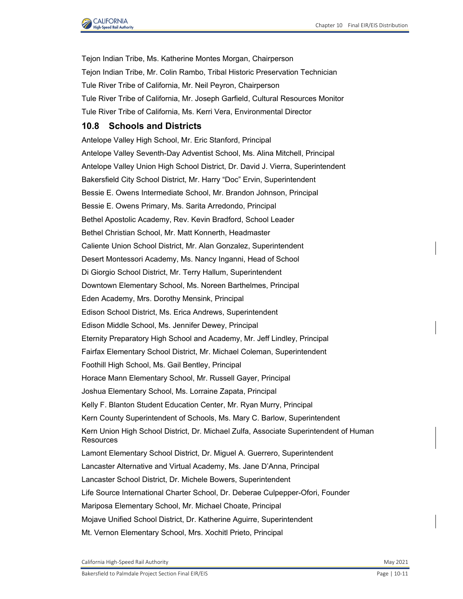

Tejon Indian Tribe, Ms. Katherine Montes Morgan, Chairperson Tejon Indian Tribe, Mr. Colin Rambo, Tribal Historic Preservation Technician Tule River Tribe of California, Mr. Neil Peyron, Chairperson Tule River Tribe of California, Mr. Joseph Garfield, Cultural Resources Monitor Tule River Tribe of California, Ms. Kerri Vera, Environmental Director

## **10.8 Schools and Districts**

Antelope Valley High School, Mr. Eric Stanford, Principal Antelope Valley Seventh-Day Adventist School, Ms. Alina Mitchell, Principal Antelope Valley Union High School District, Dr. David J. Vierra, Superintendent Bakersfield City School District, Mr. Harry "Doc" Ervin, Superintendent Bessie E. Owens Intermediate School, Mr. Brandon Johnson, Principal Bessie E. Owens Primary, Ms. Sarita Arredondo, Principal Bethel Apostolic Academy, Rev. Kevin Bradford, School Leader Bethel Christian School, Mr. Matt Konnerth, Headmaster Caliente Union School District, Mr. Alan Gonzalez, Superintendent Desert Montessori Academy, Ms. Nancy Inganni, Head of School Di Giorgio School District, Mr. Terry Hallum, Superintendent Downtown Elementary School, Ms. Noreen Barthelmes, Principal Eden Academy, Mrs. Dorothy Mensink, Principal Edison School District, Ms. Erica Andrews, Superintendent Edison Middle School, Ms. Jennifer Dewey, Principal Eternity Preparatory High School and Academy, Mr. Jeff Lindley, Principal Fairfax Elementary School District, Mr. Michael Coleman, Superintendent Foothill High School, Ms. Gail Bentley, Principal Horace Mann Elementary School, Mr. Russell Gayer, Principal Joshua Elementary School, Ms. Lorraine Zapata, Principal Kelly F. Blanton Student Education Center, Mr. Ryan Murry, Principal Kern County Superintendent of Schools, Ms. Mary C. Barlow, Superintendent Kern Union High School District, Dr. Michael Zulfa, Associate Superintendent of Human **Resources** Lamont Elementary School District, Dr. Miguel A. Guerrero, Superintendent Lancaster Alternative and Virtual Academy, Ms. Jane D'Anna, Principal Lancaster School District, Dr. Michele Bowers, Superintendent Life Source International Charter School, Dr. Deberae Culpepper-Ofori, Founder Mariposa Elementary School, Mr. Michael Choate, Principal Mojave Unified School District, Dr. Katherine Aguirre, Superintendent Mt. Vernon Elementary School, Mrs. Xochitl Prieto, Principal

California High-Speed Rail Authority May 2021 and September 2012 and September 2021 and September 2021